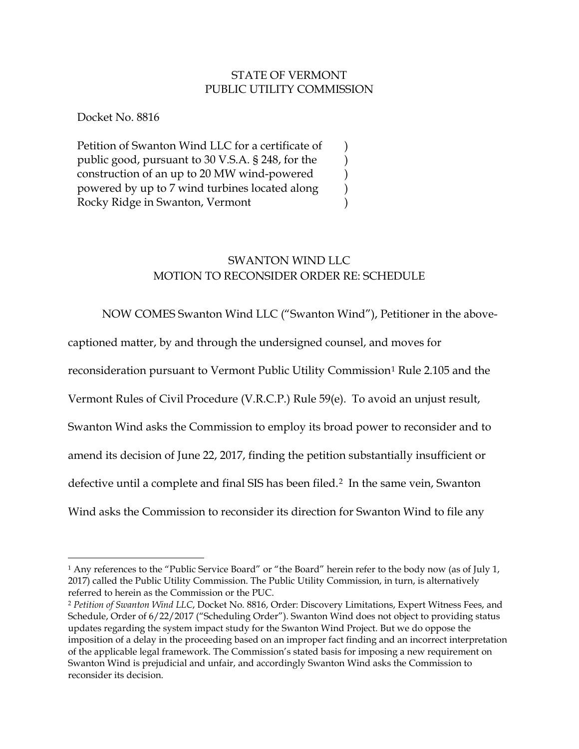## STATE OF VERMONT PUBLIC UTILITY COMMISSION

) ) ) ) )

Docket No. 8816

 $\overline{a}$ 

Petition of Swanton Wind LLC for a certificate of public good, pursuant to 30 V.S.A. § 248, for the construction of an up to 20 MW wind-powered powered by up to 7 wind turbines located along Rocky Ridge in Swanton, Vermont

# SWANTON WIND LLC MOTION TO RECONSIDER ORDER RE: SCHEDULE

NOW COMES Swanton Wind LLC ("Swanton Wind"), Petitioner in the above-

captioned matter, by and through the undersigned counsel, and moves for

reconsideration pursuant to Vermont Public Utility Commission<sup>1</sup> Rule 2.105 and the

Vermont Rules of Civil Procedure (V.R.C.P.) Rule 59(e). To avoid an unjust result,

Swanton Wind asks the Commission to employ its broad power to reconsider and to

amend its decision of June 22, 2017, finding the petition substantially insufficient or

defective until a complete and final SIS has been filed.<sup>2</sup> In the same vein, Swanton

Wind asks the Commission to reconsider its direction for Swanton Wind to file any

<sup>&</sup>lt;sup>1</sup> Any references to the "Public Service Board" or "the Board" herein refer to the body now (as of July 1, 2017) called the Public Utility Commission. The Public Utility Commission, in turn, is alternatively referred to herein as the Commission or the PUC.

<sup>2</sup> *Petition of Swanton Wind LLC*, Docket No. 8816, Order: Discovery Limitations, Expert Witness Fees, and Schedule, Order of 6/22/2017 ("Scheduling Order"). Swanton Wind does not object to providing status updates regarding the system impact study for the Swanton Wind Project. But we do oppose the imposition of a delay in the proceeding based on an improper fact finding and an incorrect interpretation of the applicable legal framework. The Commission's stated basis for imposing a new requirement on Swanton Wind is prejudicial and unfair, and accordingly Swanton Wind asks the Commission to reconsider its decision.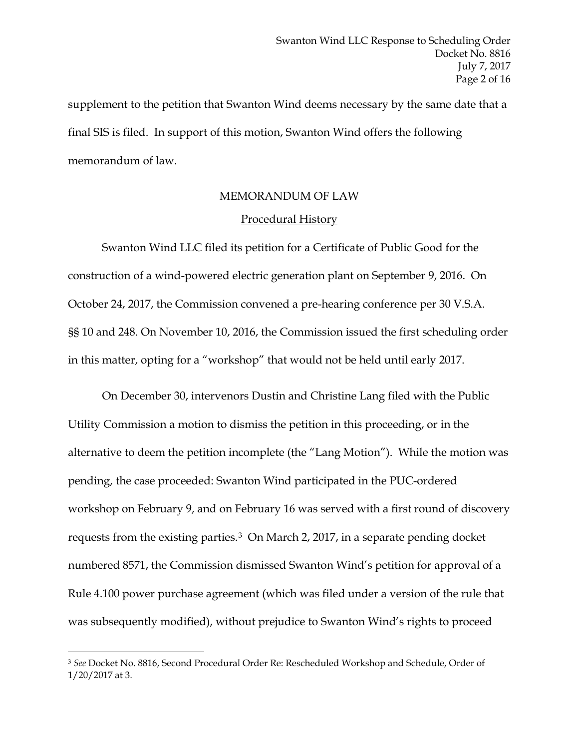supplement to the petition that Swanton Wind deems necessary by the same date that a final SIS is filed. In support of this motion, Swanton Wind offers the following memorandum of law.

#### MEMORANDUM OF LAW

#### Procedural History

Swanton Wind LLC filed its petition for a Certificate of Public Good for the construction of a wind-powered electric generation plant on September 9, 2016. On October 24, 2017, the Commission convened a pre-hearing conference per 30 V.S.A. §§ 10 and 248. On November 10, 2016, the Commission issued the first scheduling order in this matter, opting for a "workshop" that would not be held until early 2017.

On December 30, intervenors Dustin and Christine Lang filed with the Public Utility Commission a motion to dismiss the petition in this proceeding, or in the alternative to deem the petition incomplete (the "Lang Motion"). While the motion was pending, the case proceeded: Swanton Wind participated in the PUC-ordered workshop on February 9, and on February 16 was served with a first round of discovery requests from the existing parties.3 On March 2, 2017, in a separate pending docket numbered 8571, the Commission dismissed Swanton Wind's petition for approval of a Rule 4.100 power purchase agreement (which was filed under a version of the rule that was subsequently modified), without prejudice to Swanton Wind's rights to proceed

<sup>3</sup> *See* Docket No. 8816, Second Procedural Order Re: Rescheduled Workshop and Schedule, Order of 1/20/2017 at 3.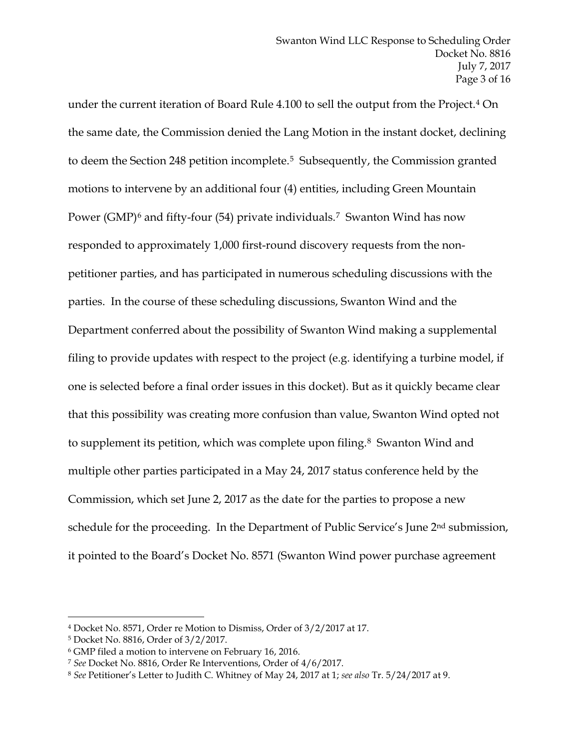under the current iteration of Board Rule 4.100 to sell the output from the Project.4 On the same date, the Commission denied the Lang Motion in the instant docket, declining to deem the Section 248 petition incomplete.5 Subsequently, the Commission granted motions to intervene by an additional four (4) entities, including Green Mountain Power (GMP)<sup>6</sup> and fifty-four (54) private individuals.<sup>7</sup> Swanton Wind has now responded to approximately 1,000 first-round discovery requests from the nonpetitioner parties, and has participated in numerous scheduling discussions with the parties. In the course of these scheduling discussions, Swanton Wind and the Department conferred about the possibility of Swanton Wind making a supplemental filing to provide updates with respect to the project (e.g. identifying a turbine model, if one is selected before a final order issues in this docket). But as it quickly became clear that this possibility was creating more confusion than value, Swanton Wind opted not to supplement its petition, which was complete upon filing.<sup>8</sup> Swanton Wind and multiple other parties participated in a May 24, 2017 status conference held by the Commission, which set June 2, 2017 as the date for the parties to propose a new schedule for the proceeding. In the Department of Public Service's June 2<sup>nd</sup> submission, it pointed to the Board's Docket No. 8571 (Swanton Wind power purchase agreement

<sup>4</sup> Docket No. 8571, Order re Motion to Dismiss, Order of 3/2/2017 at 17.

<sup>5</sup> Docket No. 8816, Order of 3/2/2017.

<sup>6</sup> GMP filed a motion to intervene on February 16, 2016.

<sup>7</sup> *See* Docket No. 8816, Order Re Interventions, Order of 4/6/2017.

<sup>8</sup> *See* Petitioner's Letter to Judith C. Whitney of May 24, 2017 at 1; *see also* Tr. 5/24/2017 at 9.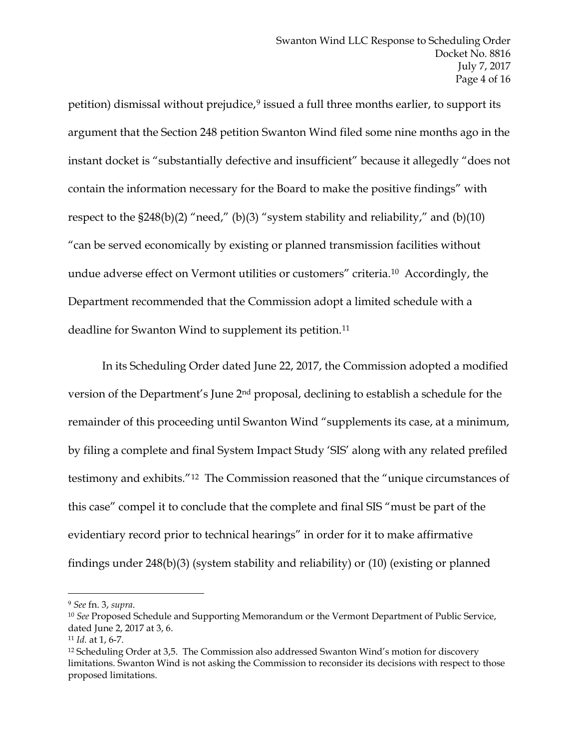petition) dismissal without prejudice,<sup>9</sup> issued a full three months earlier, to support its argument that the Section 248 petition Swanton Wind filed some nine months ago in the instant docket is "substantially defective and insufficient" because it allegedly "does not contain the information necessary for the Board to make the positive findings" with respect to the  $$248(b)(2)$  "need," (b)(3) "system stability and reliability," and (b)(10) "can be served economically by existing or planned transmission facilities without undue adverse effect on Vermont utilities or customers" criteria.10 Accordingly, the Department recommended that the Commission adopt a limited schedule with a deadline for Swanton Wind to supplement its petition.<sup>11</sup>

In its Scheduling Order dated June 22, 2017, the Commission adopted a modified version of the Department's June 2nd proposal, declining to establish a schedule for the remainder of this proceeding until Swanton Wind "supplements its case, at a minimum, by filing a complete and final System Impact Study 'SIS' along with any related prefiled testimony and exhibits."12 The Commission reasoned that the "unique circumstances of this case" compel it to conclude that the complete and final SIS "must be part of the evidentiary record prior to technical hearings" in order for it to make affirmative findings under 248(b)(3) (system stability and reliability) or (10) (existing or planned

<sup>&</sup>lt;sup>9</sup> *See* fn. 3, *supra*.<br><sup>10</sup> *See* Proposed Schedule and Supporting Memorandum or the Vermont Department of Public Service, dated June 2, 2017 at 3, 6. 11 *Id.* at 1, 6-7.

<sup>12</sup> Scheduling Order at 3,5. The Commission also addressed Swanton Wind's motion for discovery limitations. Swanton Wind is not asking the Commission to reconsider its decisions with respect to those proposed limitations.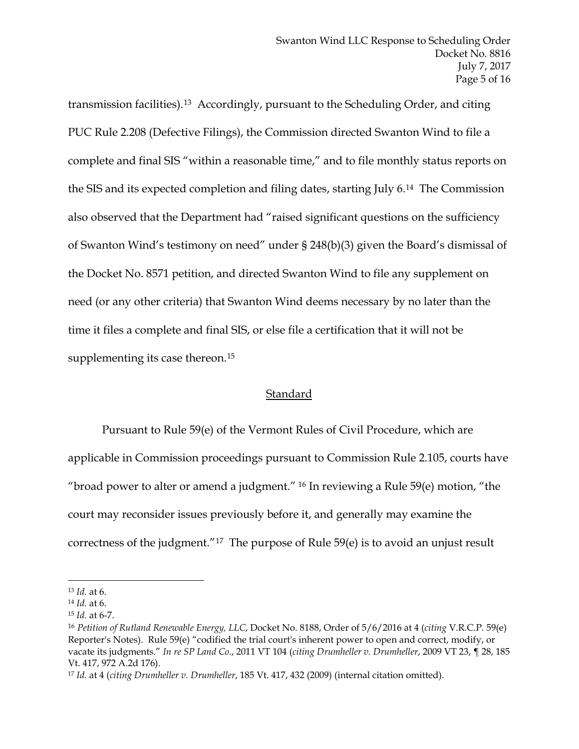transmission facilities).13 Accordingly, pursuant to the Scheduling Order, and citing PUC Rule 2.208 (Defective Filings), the Commission directed Swanton Wind to file a complete and final SIS "within a reasonable time," and to file monthly status reports on the SIS and its expected completion and filing dates, starting July 6.14 The Commission also observed that the Department had "raised significant questions on the sufficiency of Swanton Wind's testimony on need" under § 248(b)(3) given the Board's dismissal of the Docket No. 8571 petition, and directed Swanton Wind to file any supplement on need (or any other criteria) that Swanton Wind deems necessary by no later than the time it files a complete and final SIS, or else file a certification that it will not be supplementing its case thereon.<sup>15</sup>

#### **Standard**

Pursuant to Rule 59(e) of the Vermont Rules of Civil Procedure, which are applicable in Commission proceedings pursuant to Commission Rule 2.105, courts have "broad power to alter or amend a judgment." <sup>16</sup> In reviewing a Rule 59 $(e)$  motion, "the court may reconsider issues previously before it, and generally may examine the correctness of the judgment."17 The purpose of Rule 59(e) is to avoid an unjust result

<sup>13</sup> *Id.* at 6.

<sup>14</sup> *Id.* at 6.

<sup>15</sup> *Id.* at 6-7.

<sup>16</sup> *Petition of Rutland Renewable Energy, LLC*, Docket No. 8188, Order of 5/6/2016 at 4 (*citing* V.R.C.P. 59(e) Reporter's Notes). Rule 59(e) "codified the trial court's inherent power to open and correct, modify, or vacate its judgments." *In re SP Land Co.*, 2011 VT 104 (*citing Drumheller v. Drumheller*, 2009 VT 23, ¶ 28, 185 Vt. 417, 972 A.2d 176).

<sup>17</sup> *Id.* at 4 (*citing Drumheller v. Drumheller*, 185 Vt. 417, 432 (2009) (internal citation omitted).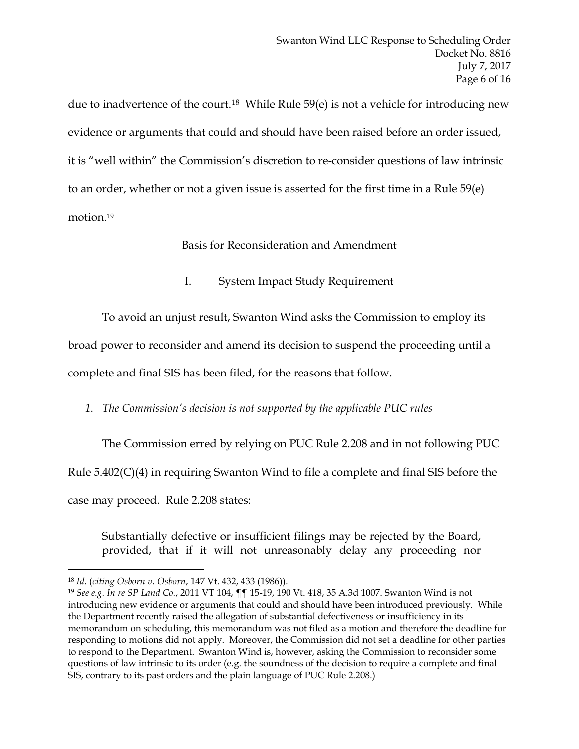due to inadvertence of the court.18 While Rule 59(e) is not a vehicle for introducing new evidence or arguments that could and should have been raised before an order issued, it is "well within" the Commission's discretion to re-consider questions of law intrinsic to an order, whether or not a given issue is asserted for the first time in a Rule 59(e) motion.19

# Basis for Reconsideration and Amendment

I. System Impact Study Requirement

To avoid an unjust result, Swanton Wind asks the Commission to employ its

broad power to reconsider and amend its decision to suspend the proceeding until a

complete and final SIS has been filed, for the reasons that follow.

# *1. The Commission's decision is not supported by the applicable PUC rules*

The Commission erred by relying on PUC Rule 2.208 and in not following PUC Rule 5.402(C)(4) in requiring Swanton Wind to file a complete and final SIS before the case may proceed. Rule 2.208 states:

Substantially defective or insufficient filings may be rejected by the Board, provided, that if it will not unreasonably delay any proceeding nor

<sup>18</sup> *Id.* (*citing Osborn v. Osborn*, 147 Vt. 432, 433 (1986)).

<sup>19</sup> *See e.g. In re SP Land Co.*, 2011 VT 104, ¶¶ 15-19, 190 Vt. 418, 35 A.3d 1007. Swanton Wind is not introducing new evidence or arguments that could and should have been introduced previously. While the Department recently raised the allegation of substantial defectiveness or insufficiency in its memorandum on scheduling, this memorandum was not filed as a motion and therefore the deadline for responding to motions did not apply. Moreover, the Commission did not set a deadline for other parties to respond to the Department. Swanton Wind is, however, asking the Commission to reconsider some questions of law intrinsic to its order (e.g. the soundness of the decision to require a complete and final SIS, contrary to its past orders and the plain language of PUC Rule 2.208.)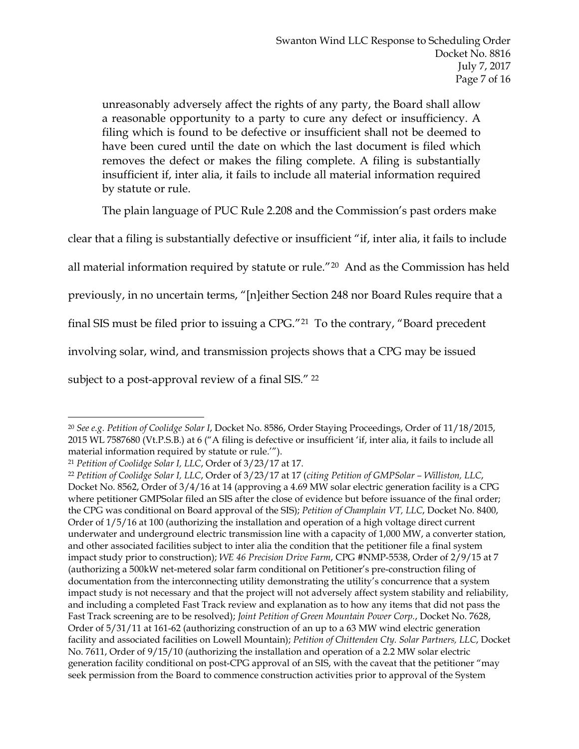unreasonably adversely affect the rights of any party, the Board shall allow a reasonable opportunity to a party to cure any defect or insufficiency. A filing which is found to be defective or insufficient shall not be deemed to have been cured until the date on which the last document is filed which removes the defect or makes the filing complete. A filing is substantially insufficient if, inter alia, it fails to include all material information required by statute or rule.

The plain language of PUC Rule 2.208 and the Commission's past orders make

clear that a filing is substantially defective or insufficient "if, inter alia, it fails to include

all material information required by statute or rule."20 And as the Commission has held

previously, in no uncertain terms, "[n]either Section 248 nor Board Rules require that a

final SIS must be filed prior to issuing a CPG."21 To the contrary, "Board precedent

involving solar, wind, and transmission projects shows that a CPG may be issued

subject to a post-approval review of a final SIS." 22

 $\overline{a}$ <sup>20</sup> *See e.g. Petition of Coolidge Solar I*, Docket No. 8586, Order Staying Proceedings, Order of 11/18/2015, 2015 WL 7587680 (Vt.P.S.B.) at 6 ("A filing is defective or insufficient 'if, inter alia, it fails to include all material information required by statute or rule.'").

<sup>21</sup> *Petition of Coolidge Solar I, LLC*, Order of 3/23/17 at 17. 22 *Petition of Coolidge Solar I, LLC*, Order of 3/23/17 at 17 (*citing Petition of GMPSolar – Williston, LLC*, Docket No. 8562, Order of 3/4/16 at 14 (approving a 4.69 MW solar electric generation facility is a CPG where petitioner GMPSolar filed an SIS after the close of evidence but before issuance of the final order; the CPG was conditional on Board approval of the SIS); *Petition of Champlain VT, LLC*, Docket No. 8400, Order of 1/5/16 at 100 (authorizing the installation and operation of a high voltage direct current underwater and underground electric transmission line with a capacity of 1,000 MW, a converter station, and other associated facilities subject to inter alia the condition that the petitioner file a final system impact study prior to construction); *WE 46 Precision Drive Farm*, CPG #NMP-5538, Order of 2/9/15 at 7 (authorizing a 500kW net-metered solar farm conditional on Petitioner's pre-construction filing of documentation from the interconnecting utility demonstrating the utility's concurrence that a system impact study is not necessary and that the project will not adversely affect system stability and reliability, and including a completed Fast Track review and explanation as to how any items that did not pass the Fast Track screening are to be resolved); *Joint Petition of Green Mountain Power Corp.*, Docket No. 7628, Order of 5/31/11 at 161-62 (authorizing construction of an up to a 63 MW wind electric generation facility and associated facilities on Lowell Mountain); *Petition of Chittenden Cty. Solar Partners, LLC*, Docket No. 7611, Order of 9/15/10 (authorizing the installation and operation of a 2.2 MW solar electric generation facility conditional on post-CPG approval of an SIS, with the caveat that the petitioner "may seek permission from the Board to commence construction activities prior to approval of the System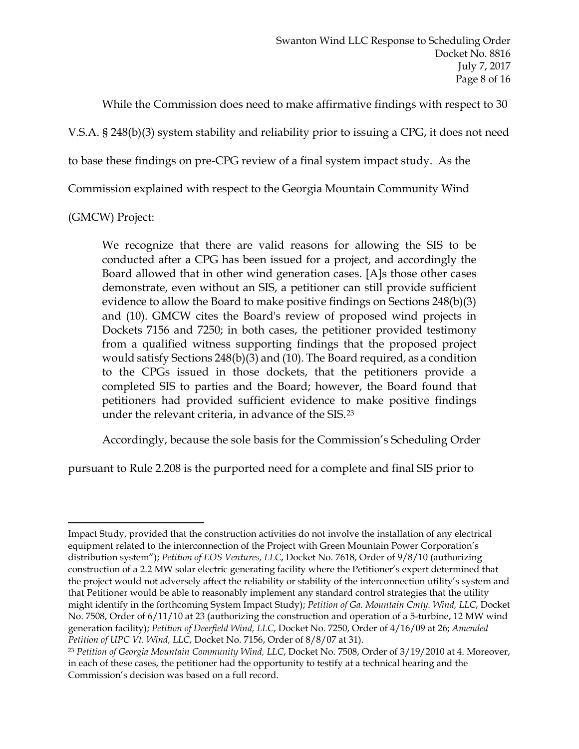While the Commission does need to make affirmative findings with respect to 30

V.S.A. § 248(b)(3) system stability and reliability prior to issuing a CPG, it does not need

to base these findings on pre-CPG review of a final system impact study. As the

Commission explained with respect to the Georgia Mountain Community Wind

(GMCW) Project:

 $\overline{a}$ 

We recognize that there are valid reasons for allowing the SIS to be conducted after a CPG has been issued for a project, and accordingly the Board allowed that in other wind generation cases. [A]s those other cases demonstrate, even without an SIS, a petitioner can still provide sufficient evidence to allow the Board to make positive findings on Sections 248(b)(3) and (10). GMCW cites the Board's review of proposed wind projects in Dockets 7156 and 7250; in both cases, the petitioner provided testimony from a qualified witness supporting findings that the proposed project would satisfy Sections 248(b)(3) and (10). The Board required, as a condition to the CPGs issued in those dockets, that the petitioners provide a completed SIS to parties and the Board; however, the Board found that petitioners had provided sufficient evidence to make positive findings under the relevant criteria, in advance of the SIS.23

Accordingly, because the sole basis for the Commission's Scheduling Order

pursuant to Rule 2.208 is the purported need for a complete and final SIS prior to

Impact Study, provided that the construction activities do not involve the installation of any electrical equipment related to the interconnection of the Project with Green Mountain Power Corporation's distribution system"); *Petition of EOS Ventures, LLC*, Docket No. 7618, Order of 9/8/10 (authorizing construction of a 2.2 MW solar electric generating facility where the Petitioner's expert determined that the project would not adversely affect the reliability or stability of the interconnection utility's system and that Petitioner would be able to reasonably implement any standard control strategies that the utility might identify in the forthcoming System Impact Study); *Petition of Ga. Mountain Cmty. Wind, LLC*, Docket No. 7508, Order of 6/11/10 at 23 (authorizing the construction and operation of a 5-turbine, 12 MW wind generation facility); *Petition of Deerfield Wind, LLC*, Docket No. 7250, Order of 4/16/09 at 26; *Amended Petition of UPC Vt. Wind, LLC*, Docket No. 7156, Order of 8/8/07 at 31). 23 *Petition of Georgia Mountain Community Wind, LLC*, Docket No. 7508, Order of 3/19/2010 at 4. Moreover,

in each of these cases, the petitioner had the opportunity to testify at a technical hearing and the Commission's decision was based on a full record.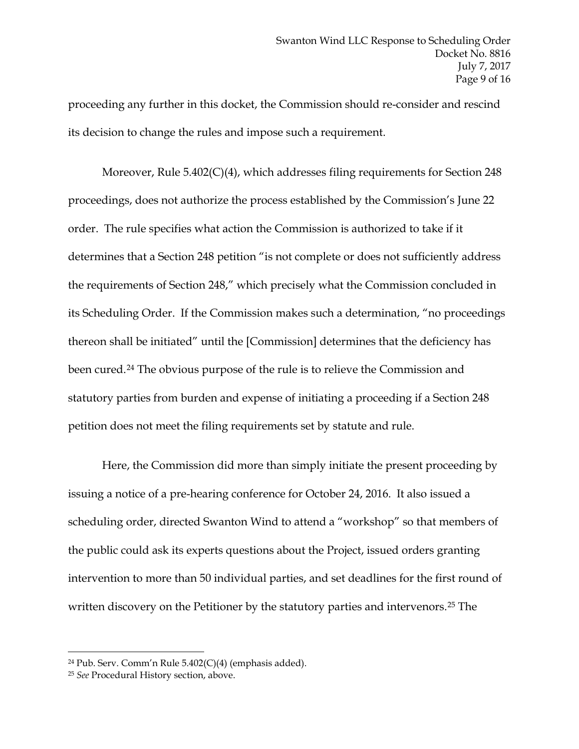proceeding any further in this docket, the Commission should re-consider and rescind its decision to change the rules and impose such a requirement.

Moreover, Rule 5.402(C)(4), which addresses filing requirements for Section 248 proceedings, does not authorize the process established by the Commission's June 22 order. The rule specifies what action the Commission is authorized to take if it determines that a Section 248 petition "is not complete or does not sufficiently address the requirements of Section 248," which precisely what the Commission concluded in its Scheduling Order. If the Commission makes such a determination, "no proceedings thereon shall be initiated" until the [Commission] determines that the deficiency has been cured.24 The obvious purpose of the rule is to relieve the Commission and statutory parties from burden and expense of initiating a proceeding if a Section 248 petition does not meet the filing requirements set by statute and rule.

Here, the Commission did more than simply initiate the present proceeding by issuing a notice of a pre-hearing conference for October 24, 2016. It also issued a scheduling order, directed Swanton Wind to attend a "workshop" so that members of the public could ask its experts questions about the Project, issued orders granting intervention to more than 50 individual parties, and set deadlines for the first round of written discovery on the Petitioner by the statutory parties and intervenors.<sup>25</sup> The

<sup>24</sup> Pub. Serv. Comm'n Rule 5.402(C)(4) (emphasis added).

<sup>25</sup> *See* Procedural History section, above.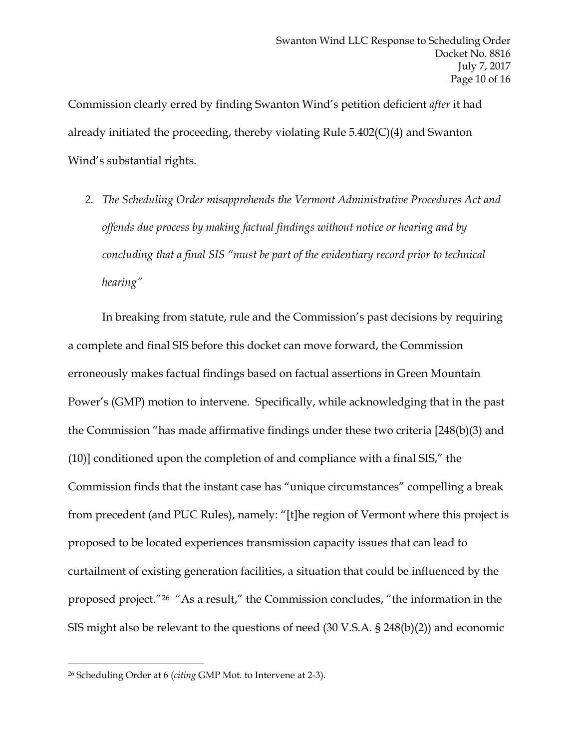Commission clearly erred by finding Swanton Wind's petition deficient *after* it had already initiated the proceeding, thereby violating Rule 5.402(C)(4) and Swanton Wind's substantial rights.

*2. The Scheduling Order misapprehends the Vermont Administrative Procedures Act and offends due process by making factual findings without notice or hearing and by concluding that a final SIS "must be part of the evidentiary record prior to technical hearing"* 

In breaking from statute, rule and the Commission's past decisions by requiring a complete and final SIS before this docket can move forward, the Commission erroneously makes factual findings based on factual assertions in Green Mountain Power's (GMP) motion to intervene. Specifically, while acknowledging that in the past the Commission "has made affirmative findings under these two criteria [248(b)(3) and (10)] conditioned upon the completion of and compliance with a final SIS," the Commission finds that the instant case has "unique circumstances" compelling a break from precedent (and PUC Rules), namely: "[t]he region of Vermont where this project is proposed to be located experiences transmission capacity issues that can lead to curtailment of existing generation facilities, a situation that could be influenced by the proposed project."26 "As a result," the Commission concludes, "the information in the SIS might also be relevant to the questions of need (30 V.S.A. § 248(b)(2)) and economic

<sup>26</sup> Scheduling Order at 6 (*citing* GMP Mot. to Intervene at 2-3).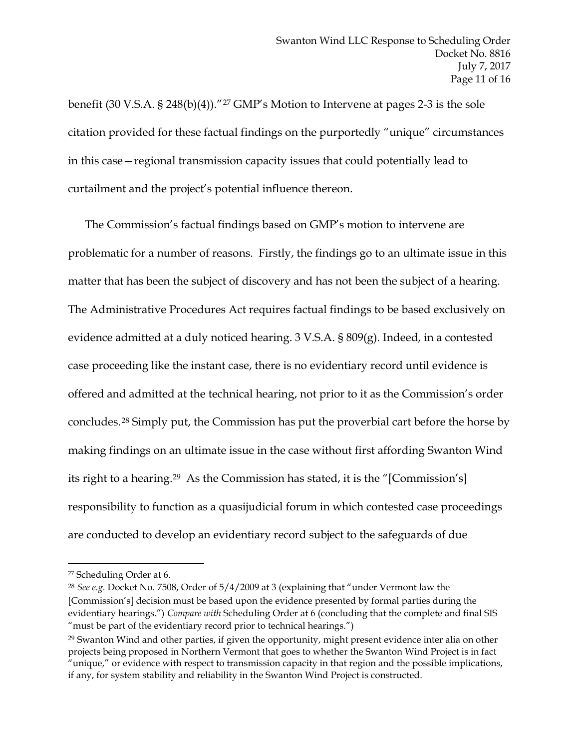benefit (30 V.S.A. § 248(b)(4))."27 GMP's Motion to Intervene at pages 2-3 is the sole citation provided for these factual findings on the purportedly "unique" circumstances in this case—regional transmission capacity issues that could potentially lead to curtailment and the project's potential influence thereon.

The Commission's factual findings based on GMP's motion to intervene are problematic for a number of reasons. Firstly, the findings go to an ultimate issue in this matter that has been the subject of discovery and has not been the subject of a hearing. The Administrative Procedures Act requires factual findings to be based exclusively on evidence admitted at a duly noticed hearing. 3 V.S.A. § 809(g). Indeed, in a contested case proceeding like the instant case, there is no evidentiary record until evidence is offered and admitted at the technical hearing, not prior to it as the Commission's order concludes.28 Simply put, the Commission has put the proverbial cart before the horse by making findings on an ultimate issue in the case without first affording Swanton Wind its right to a hearing.29 As the Commission has stated, it is the "[Commission's] responsibility to function as a quasijudicial forum in which contested case proceedings are conducted to develop an evidentiary record subject to the safeguards of due

 $\overline{a}$ 

<sup>28</sup> *See e.g.* Docket No. 7508, Order of 5/4/2009 at 3 (explaining that "under Vermont law the [Commission's] decision must be based upon the evidence presented by formal parties during the evidentiary hearings.") *Compare with* Scheduling Order at 6 (concluding that the complete and final SIS "must be part of the evidentiary record prior to technical hearings.")

<sup>27</sup> Scheduling Order at 6.

<sup>29</sup> Swanton Wind and other parties, if given the opportunity, might present evidence inter alia on other projects being proposed in Northern Vermont that goes to whether the Swanton Wind Project is in fact "unique," or evidence with respect to transmission capacity in that region and the possible implications, if any, for system stability and reliability in the Swanton Wind Project is constructed.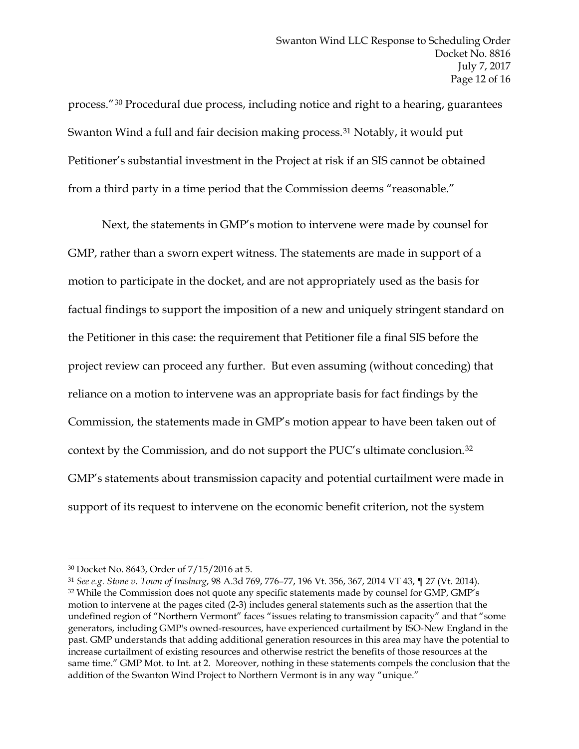process."30 Procedural due process, including notice and right to a hearing, guarantees Swanton Wind a full and fair decision making process.<sup>31</sup> Notably, it would put Petitioner's substantial investment in the Project at risk if an SIS cannot be obtained from a third party in a time period that the Commission deems "reasonable."

Next, the statements in GMP's motion to intervene were made by counsel for GMP, rather than a sworn expert witness. The statements are made in support of a motion to participate in the docket, and are not appropriately used as the basis for factual findings to support the imposition of a new and uniquely stringent standard on the Petitioner in this case: the requirement that Petitioner file a final SIS before the project review can proceed any further. But even assuming (without conceding) that reliance on a motion to intervene was an appropriate basis for fact findings by the Commission, the statements made in GMP's motion appear to have been taken out of context by the Commission, and do not support the PUC's ultimate conclusion.32 GMP's statements about transmission capacity and potential curtailment were made in support of its request to intervene on the economic benefit criterion, not the system

<sup>30</sup> Docket No. 8643, Order of 7/15/2016 at 5.

<sup>31</sup> *See e.g. Stone v. Town of Irasburg*, 98 A.3d 769, 776–77, 196 Vt. 356, 367, 2014 VT 43, ¶ 27 (Vt. 2014). 32 While the Commission does not quote any specific statements made by counsel for GMP, GMP's motion to intervene at the pages cited (2-3) includes general statements such as the assertion that the undefined region of "Northern Vermont" faces "issues relating to transmission capacity" and that "some generators, including GMP's owned-resources, have experienced curtailment by ISO-New England in the past. GMP understands that adding additional generation resources in this area may have the potential to increase curtailment of existing resources and otherwise restrict the benefits of those resources at the same time." GMP Mot. to Int. at 2. Moreover, nothing in these statements compels the conclusion that the addition of the Swanton Wind Project to Northern Vermont is in any way "unique."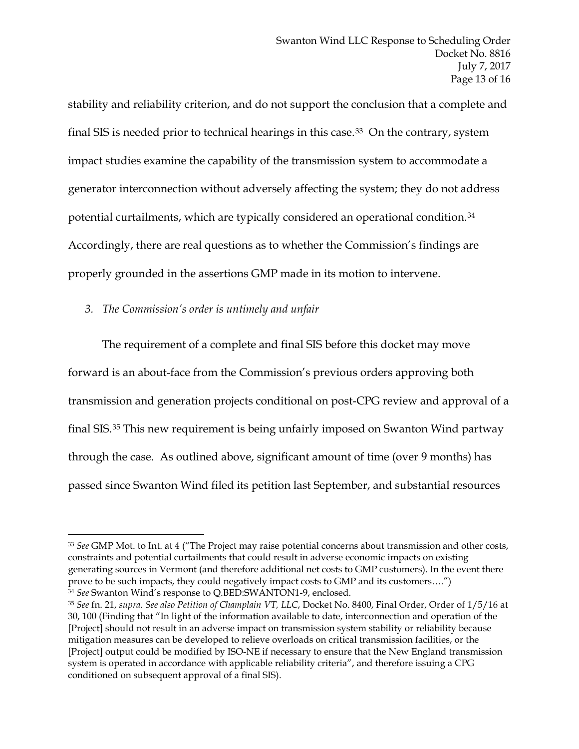stability and reliability criterion, and do not support the conclusion that a complete and final SIS is needed prior to technical hearings in this case.<sup>33</sup> On the contrary, system impact studies examine the capability of the transmission system to accommodate a generator interconnection without adversely affecting the system; they do not address potential curtailments, which are typically considered an operational condition.34 Accordingly, there are real questions as to whether the Commission's findings are properly grounded in the assertions GMP made in its motion to intervene.

*3. The Commission's order is untimely and unfair*

 $\overline{a}$ 

The requirement of a complete and final SIS before this docket may move forward is an about-face from the Commission's previous orders approving both transmission and generation projects conditional on post-CPG review and approval of a final SIS.35 This new requirement is being unfairly imposed on Swanton Wind partway through the case. As outlined above, significant amount of time (over 9 months) has passed since Swanton Wind filed its petition last September, and substantial resources

<sup>33</sup> *See* GMP Mot. to Int. at 4 ("The Project may raise potential concerns about transmission and other costs, constraints and potential curtailments that could result in adverse economic impacts on existing generating sources in Vermont (and therefore additional net costs to GMP customers). In the event there prove to be such impacts, they could negatively impact costs to GMP and its customers….") <sup>34</sup> *See* Swanton Wind's response to Q.BED:SWANTON1-9, enclosed.

<sup>35</sup> *See* fn. 21, *supra*. *See also Petition of Champlain VT, LLC*, Docket No. 8400, Final Order, Order of 1/5/16 at 30, 100 (Finding that "In light of the information available to date, interconnection and operation of the [Project] should not result in an adverse impact on transmission system stability or reliability because mitigation measures can be developed to relieve overloads on critical transmission facilities, or the [Project] output could be modified by ISO-NE if necessary to ensure that the New England transmission system is operated in accordance with applicable reliability criteria", and therefore issuing a CPG conditioned on subsequent approval of a final SIS).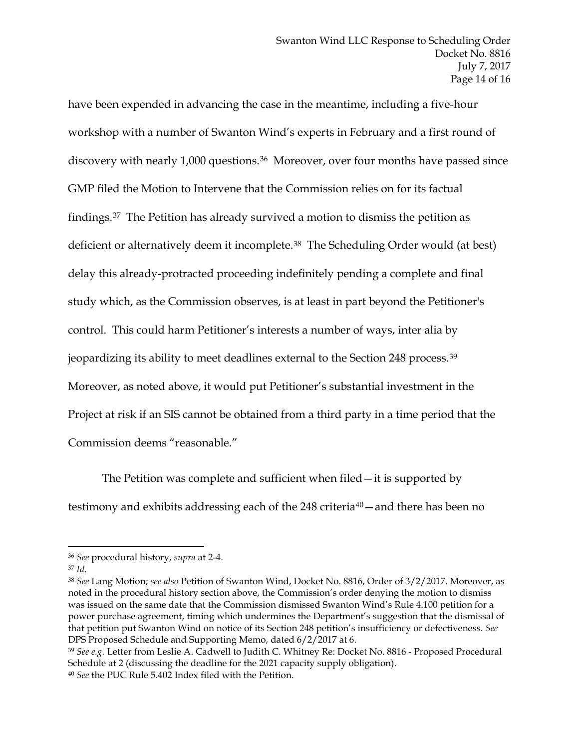have been expended in advancing the case in the meantime, including a five-hour workshop with a number of Swanton Wind's experts in February and a first round of discovery with nearly 1,000 questions.<sup>36</sup> Moreover, over four months have passed since GMP filed the Motion to Intervene that the Commission relies on for its factual findings.37 The Petition has already survived a motion to dismiss the petition as deficient or alternatively deem it incomplete.38 The Scheduling Order would (at best) delay this already-protracted proceeding indefinitely pending a complete and final study which, as the Commission observes, is at least in part beyond the Petitioner's control. This could harm Petitioner's interests a number of ways, inter alia by jeopardizing its ability to meet deadlines external to the Section 248 process.39 Moreover, as noted above, it would put Petitioner's substantial investment in the Project at risk if an SIS cannot be obtained from a third party in a time period that the Commission deems "reasonable."

The Petition was complete and sufficient when filed—it is supported by testimony and exhibits addressing each of the 248 criteria<sup>40</sup>—and there has been no

 $\overline{a}$ 

<sup>39</sup> *See e.g.* Letter from Leslie A. Cadwell to Judith C. Whitney Re: Docket No. 8816 - Proposed Procedural Schedule at 2 (discussing the deadline for the 2021 capacity supply obligation). <sup>40</sup> *See* the PUC Rule 5.402 Index filed with the Petition.

<sup>36</sup> *See* procedural history, *supra* at 2-4.

<sup>37</sup> *Id.*

<sup>38</sup> *See* Lang Motion; *see also* Petition of Swanton Wind, Docket No. 8816, Order of 3/2/2017. Moreover, as noted in the procedural history section above, the Commission's order denying the motion to dismiss was issued on the same date that the Commission dismissed Swanton Wind's Rule 4.100 petition for a power purchase agreement, timing which undermines the Department's suggestion that the dismissal of that petition put Swanton Wind on notice of its Section 248 petition's insufficiency or defectiveness. *See* DPS Proposed Schedule and Supporting Memo, dated 6/2/2017 at 6.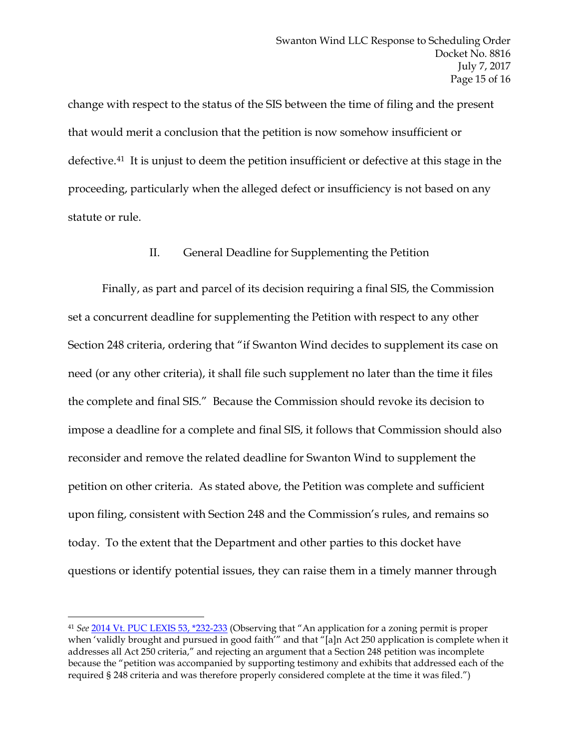change with respect to the status of the SIS between the time of filing and the present that would merit a conclusion that the petition is now somehow insufficient or defective.41 It is unjust to deem the petition insufficient or defective at this stage in the proceeding, particularly when the alleged defect or insufficiency is not based on any statute or rule.

### II. General Deadline for Supplementing the Petition

Finally, as part and parcel of its decision requiring a final SIS, the Commission set a concurrent deadline for supplementing the Petition with respect to any other Section 248 criteria, ordering that "if Swanton Wind decides to supplement its case on need (or any other criteria), it shall file such supplement no later than the time it files the complete and final SIS." Because the Commission should revoke its decision to impose a deadline for a complete and final SIS, it follows that Commission should also reconsider and remove the related deadline for Swanton Wind to supplement the petition on other criteria. As stated above, the Petition was complete and sufficient upon filing, consistent with Section 248 and the Commission's rules, and remains so today. To the extent that the Department and other parties to this docket have questions or identify potential issues, they can raise them in a timely manner through

<sup>41</sup> *See* 2014 Vt. PUC LEXIS 53, \*232-233 (Observing that "An application for a zoning permit is proper when 'validly brought and pursued in good faith'" and that "[a]n Act 250 application is complete when it addresses all Act 250 criteria," and rejecting an argument that a Section 248 petition was incomplete because the "petition was accompanied by supporting testimony and exhibits that addressed each of the required § 248 criteria and was therefore properly considered complete at the time it was filed.")